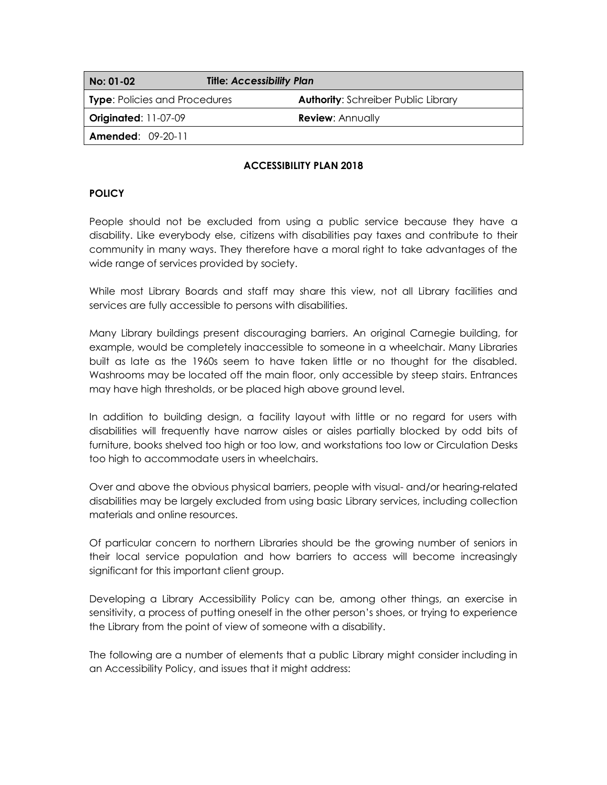| No: 01-02                            | <b>Title: Accessibility Plan</b>           |  |  |
|--------------------------------------|--------------------------------------------|--|--|
| <b>Type: Policies and Procedures</b> | <b>Authority: Schreiber Public Library</b> |  |  |
| <b>Originated: 11-07-09</b>          | <b>Review: Annually</b>                    |  |  |
| <b>Amended: 09-20-11</b>             |                                            |  |  |

#### **ACCESSIBILITY PLAN 2018**

### **POLICY**

People should not be excluded from using a public service because they have a disability. Like everybody else, citizens with disabilities pay taxes and contribute to their community in many ways. They therefore have a moral right to take advantages of the wide range of services provided by society.

While most Library Boards and staff may share this view, not all Library facilities and services are fully accessible to persons with disabilities.

Many Library buildings present discouraging barriers. An original Carnegie building, for example, would be completely inaccessible to someone in a wheelchair. Many Libraries built as late as the 1960s seem to have taken little or no thought for the disabled. Washrooms may be located off the main floor, only accessible by steep stairs. Entrances may have high thresholds, or be placed high above ground level.

In addition to building design, a facility layout with little or no regard for users with disabilities will frequently have narrow aisles or aisles partially blocked by odd bits of furniture, books shelved too high or too low, and workstations too low or Circulation Desks too high to accommodate users in wheelchairs.

Over and above the obvious physical barriers, people with visual- and/or hearing-related disabilities may be largely excluded from using basic Library services, including collection materials and online resources.

Of particular concern to northern Libraries should be the growing number of seniors in their local service population and how barriers to access will become increasingly significant for this important client group.

Developing a Library Accessibility Policy can be, among other things, an exercise in sensitivity, a process of putting oneself in the other person's shoes, or trying to experience the Library from the point of view of someone with a disability.

The following are a number of elements that a public Library might consider including in an Accessibility Policy, and issues that it might address: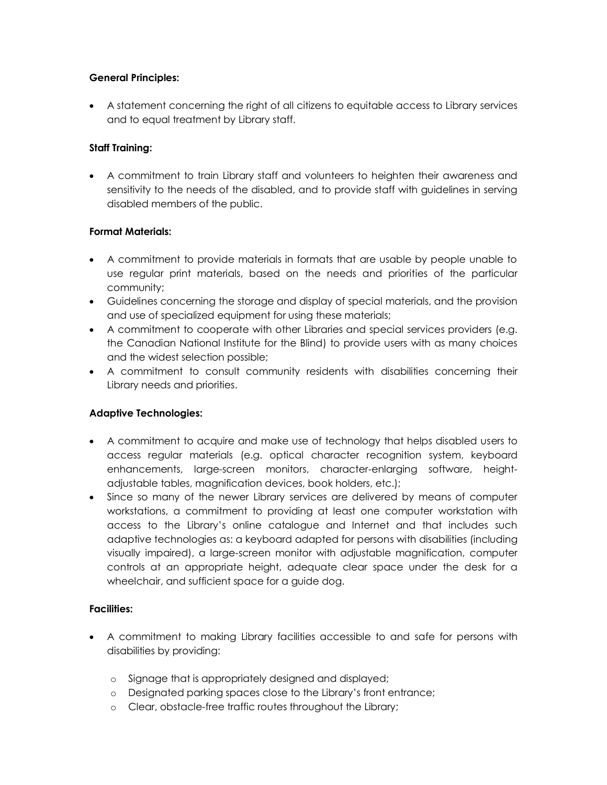### **General Principles:**

 A statement concerning the right of all citizens to equitable access to Library services and to equal treatment by Library staff.

### **Staff Training:**

 A commitment to train Library staff and volunteers to heighten their awareness and sensitivity to the needs of the disabled, and to provide staff with guidelines in serving disabled members of the public.

### **Format Materials:**

- A commitment to provide materials in formats that are usable by people unable to use regular print materials, based on the needs and priorities of the particular community;
- Guidelines concerning the storage and display of special materials, and the provision and use of specialized equipment for using these materials;
- A commitment to cooperate with other Libraries and special services providers (e.g. the Canadian National Institute for the Blind) to provide users with as many choices and the widest selection possible;
- A commitment to consult community residents with disabilities concerning their Library needs and priorities.

### **Adaptive Technologies:**

- A commitment to acquire and make use of technology that helps disabled users to access regular materials (e.g. optical character recognition system, keyboard enhancements, large-screen monitors, character-enlarging software, heightadjustable tables, magnification devices, book holders, etc.);
- Since so many of the newer Library services are delivered by means of computer workstations, a commitment to providing at least one computer workstation with access to the Library's online catalogue and Internet and that includes such adaptive technologies as: a keyboard adapted for persons with disabilities (including visually impaired), a large-screen monitor with adjustable magnification, computer controls at an appropriate height, adequate clear space under the desk for a wheelchair, and sufficient space for a guide dog.

#### **Facilities:**

- A commitment to making Library facilities accessible to and safe for persons with disabilities by providing:
	- o Signage that is appropriately designed and displayed;
	- o Designated parking spaces close to the Library's front entrance;
	- o Clear, obstacle-free traffic routes throughout the Library;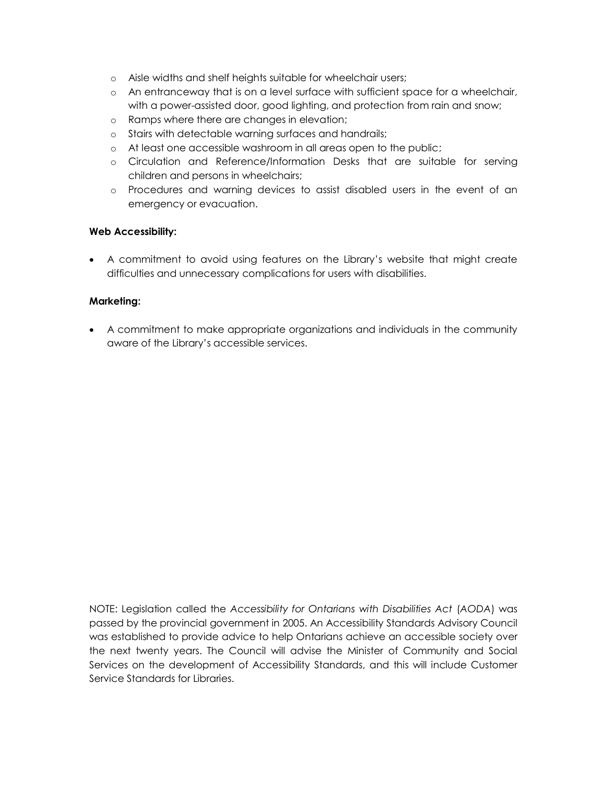- o Aisle widths and shelf heights suitable for wheelchair users;
- o An entranceway that is on a level surface with sufficient space for a wheelchair, with a power-assisted door, good lighting, and protection from rain and snow;
- o Ramps where there are changes in elevation;
- o Stairs with detectable warning surfaces and handrails;
- o At least one accessible washroom in all areas open to the public;
- o Circulation and Reference/Information Desks that are suitable for serving children and persons in wheelchairs;
- o Procedures and warning devices to assist disabled users in the event of an emergency or evacuation.

#### **Web Accessibility:**

 A commitment to avoid using features on the Library's website that might create difficulties and unnecessary complications for users with disabilities.

#### **Marketing:**

 A commitment to make appropriate organizations and individuals in the community aware of the Library's accessible services.

NOTE: Legislation called the *Accessibility for Ontarians with Disabilities Act* (*AODA*) was passed by the provincial government in 2005. An Accessibility Standards Advisory Council was established to provide advice to help Ontarians achieve an accessible society over the next twenty years. The Council will advise the Minister of Community and Social Services on the development of Accessibility Standards, and this will include Customer Service Standards for Libraries.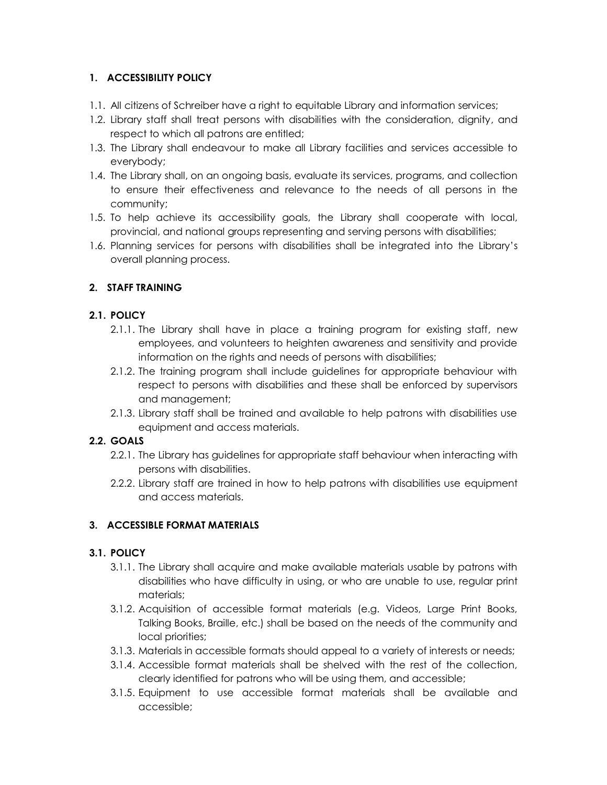## **1. ACCESSIBILITY POLICY**

- 1.1. All citizens of Schreiber have a right to equitable Library and information services;
- 1.2. Library staff shall treat persons with disabilities with the consideration, dignity, and respect to which all patrons are entitled;
- 1.3. The Library shall endeavour to make all Library facilities and services accessible to everybody;
- 1.4. The Library shall, on an ongoing basis, evaluate its services, programs, and collection to ensure their effectiveness and relevance to the needs of all persons in the community;
- 1.5. To help achieve its accessibility goals, the Library shall cooperate with local, provincial, and national groups representing and serving persons with disabilities;
- 1.6. Planning services for persons with disabilities shall be integrated into the Library's overall planning process.

# **2. STAFF TRAINING**

## **2.1. POLICY**

- 2.1.1. The Library shall have in place a training program for existing staff, new employees, and volunteers to heighten awareness and sensitivity and provide information on the rights and needs of persons with disabilities;
- 2.1.2. The training program shall include guidelines for appropriate behaviour with respect to persons with disabilities and these shall be enforced by supervisors and management;
- 2.1.3. Library staff shall be trained and available to help patrons with disabilities use equipment and access materials.

# **2.2. GOALS**

- 2.2.1. The Library has guidelines for appropriate staff behaviour when interacting with persons with disabilities.
- 2.2.2. Library staff are trained in how to help patrons with disabilities use equipment and access materials.

# **3. ACCESSIBLE FORMAT MATERIALS**

### **3.1. POLICY**

- 3.1.1. The Library shall acquire and make available materials usable by patrons with disabilities who have difficulty in using, or who are unable to use, regular print materials;
- 3.1.2. Acquisition of accessible format materials (e.g. Videos, Large Print Books, Talking Books, Braille, etc.) shall be based on the needs of the community and local priorities;
- 3.1.3. Materials in accessible formats should appeal to a variety of interests or needs;
- 3.1.4. Accessible format materials shall be shelved with the rest of the collection, clearly identified for patrons who will be using them, and accessible;
- 3.1.5. Equipment to use accessible format materials shall be available and accessible;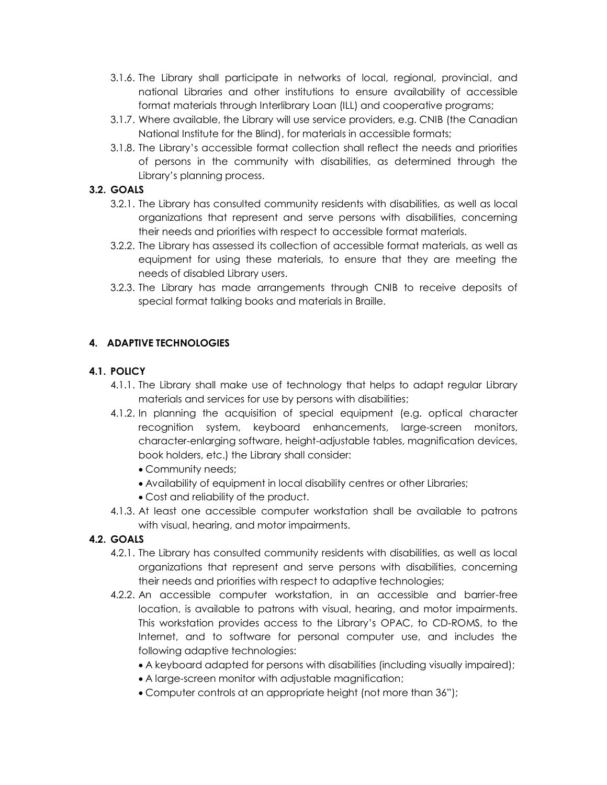- 3.1.6. The Library shall participate in networks of local, regional, provincial, and national Libraries and other institutions to ensure availability of accessible format materials through Interlibrary Loan (ILL) and cooperative programs;
- 3.1.7. Where available, the Library will use service providers, e.g. CNIB (the Canadian National Institute for the Blind), for materials in accessible formats;
- 3.1.8. The Library's accessible format collection shall reflect the needs and priorities of persons in the community with disabilities, as determined through the Library's planning process.

## **3.2. GOALS**

- 3.2.1. The Library has consulted community residents with disabilities, as well as local organizations that represent and serve persons with disabilities, concerning their needs and priorities with respect to accessible format materials.
- 3.2.2. The Library has assessed its collection of accessible format materials, as well as equipment for using these materials, to ensure that they are meeting the needs of disabled Library users.
- 3.2.3. The Library has made arrangements through CNIB to receive deposits of special format talking books and materials in Braille.

# **4. ADAPTIVE TECHNOLOGIES**

## **4.1. POLICY**

- 4.1.1. The Library shall make use of technology that helps to adapt regular Library materials and services for use by persons with disabilities;
- 4.1.2. In planning the acquisition of special equipment (e.g. optical character recognition system, keyboard enhancements, large-screen monitors, character-enlarging software, height-adjustable tables, magnification devices, book holders, etc.) the Library shall consider:
	- Community needs;
	- Availability of equipment in local disability centres or other Libraries;
	- Cost and reliability of the product.
- 4.1.3. At least one accessible computer workstation shall be available to patrons with visual, hearing, and motor impairments.
- **4.2. GOALS**
	- 4.2.1. The Library has consulted community residents with disabilities, as well as local organizations that represent and serve persons with disabilities, concerning their needs and priorities with respect to adaptive technologies;
	- 4.2.2. An accessible computer workstation, in an accessible and barrier-free location, is available to patrons with visual, hearing, and motor impairments. This workstation provides access to the Library's OPAC, to CD-ROMS, to the Internet, and to software for personal computer use, and includes the following adaptive technologies:
		- A keyboard adapted for persons with disabilities (including visually impaired);
		- A large-screen monitor with adjustable magnification;
		- Computer controls at an appropriate height (not more than 36");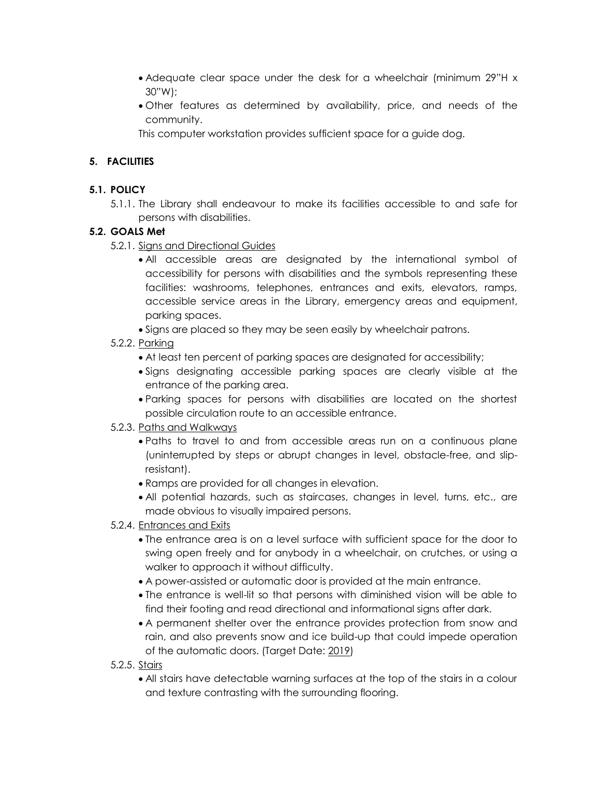- Adequate clear space under the desk for a wheelchair (minimum 29"H x 30"W);
- Other features as determined by availability, price, and needs of the community.

This computer workstation provides sufficient space for a guide dog.

# **5. FACILITIES**

## **5.1. POLICY**

5.1.1. The Library shall endeavour to make its facilities accessible to and safe for persons with disabilities.

## **5.2. GOALS Met**

- 5.2.1. Signs and Directional Guides
	- All accessible areas are designated by the international symbol of accessibility for persons with disabilities and the symbols representing these facilities: washrooms, telephones, entrances and exits, elevators, ramps, accessible service areas in the Library, emergency areas and equipment, parking spaces.
	- Signs are placed so they may be seen easily by wheelchair patrons.
- 5.2.2. Parking
	- At least ten percent of parking spaces are designated for accessibility;
	- Signs designating accessible parking spaces are clearly visible at the entrance of the parking area.
	- Parking spaces for persons with disabilities are located on the shortest possible circulation route to an accessible entrance.

### 5.2.3. Paths and Walkways

- Paths to travel to and from accessible areas run on a continuous plane (uninterrupted by steps or abrupt changes in level, obstacle-free, and slipresistant).
- Ramps are provided for all changes in elevation.
- All potential hazards, such as staircases, changes in level, turns, etc., are made obvious to visually impaired persons.

# 5.2.4. Entrances and Exits

- The entrance area is on a level surface with sufficient space for the door to swing open freely and for anybody in a wheelchair, on crutches, or using a walker to approach it without difficulty.
- A power-assisted or automatic door is provided at the main entrance.
- The entrance is well-lit so that persons with diminished vision will be able to find their footing and read directional and informational signs after dark.
- A permanent shelter over the entrance provides protection from snow and rain, and also prevents snow and ice build-up that could impede operation of the automatic doors. (Target Date: 2019)
- 5.2.5. Stairs
	- All stairs have detectable warning surfaces at the top of the stairs in a colour and texture contrasting with the surrounding flooring.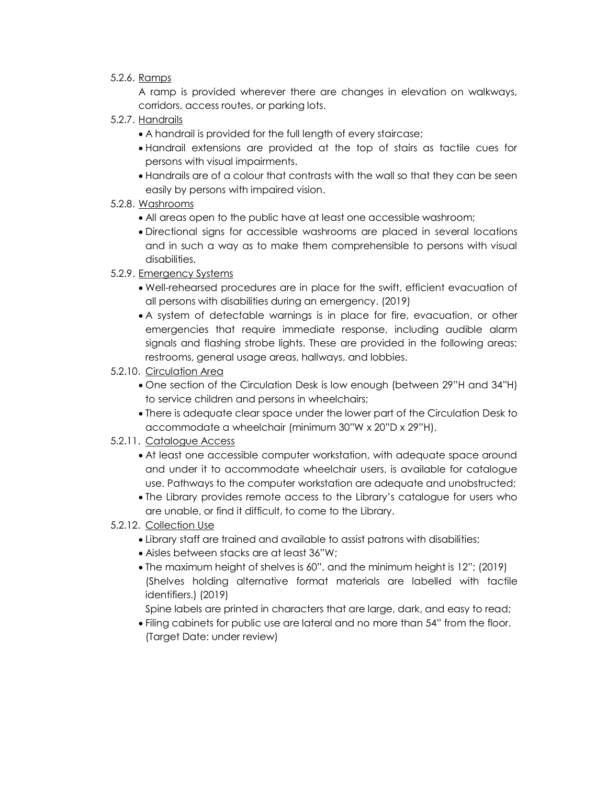### 5.2.6. Ramps

A ramp is provided wherever there are changes in elevation on walkways, corridors, access routes, or parking lots.

- 5.2.7. Handrails
	- A handrail is provided for the full length of every staircase;
	- Handrail extensions are provided at the top of stairs as tactile cues for persons with visual impairments.
	- Handrails are of a colour that contrasts with the wall so that they can be seen easily by persons with impaired vision.
- 5.2.8. Washrooms
	- All areas open to the public have at least one accessible washroom;
	- Directional signs for accessible washrooms are placed in several locations and in such a way as to make them comprehensible to persons with visual disabilities.
- 5.2.9. Emergency Systems
	- Well-rehearsed procedures are in place for the swift, efficient evacuation of all persons with disabilities during an emergency. (2019)
	- A system of detectable warnings is in place for fire, evacuation, or other emergencies that require immediate response, including audible alarm signals and flashing strobe lights. These are provided in the following areas: restrooms, general usage areas, hallways, and lobbies.
- 5.2.10. Circulation Area
	- One section of the Circulation Desk is low enough (between 29"H and 34"H) to service children and persons in wheelchairs;
	- There is adequate clear space under the lower part of the Circulation Desk to accommodate a wheelchair (minimum 30"W x 20"D x 29"H).
- 5.2.11. Catalogue Access
	- At least one accessible computer workstation, with adequate space around and under it to accommodate wheelchair users, is available for catalogue use. Pathways to the computer workstation are adequate and unobstructed;
	- The Library provides remote access to the Library's catalogue for users who are unable, or find it difficult, to come to the Library.
- 5.2.12. Collection Use
	- Library staff are trained and available to assist patrons with disabilities;
	- Aisles between stacks are at least 36"W;
	- The maximum height of shelves is 60", and the minimum height is 12"; (2019) (Shelves holding alternative format materials are labelled with tactile identifiers.) (2019)
	- Spine labels are printed in characters that are large, dark, and easy to read;
	- Filing cabinets for public use are lateral and no more than 54" from the floor. (Target Date: under review)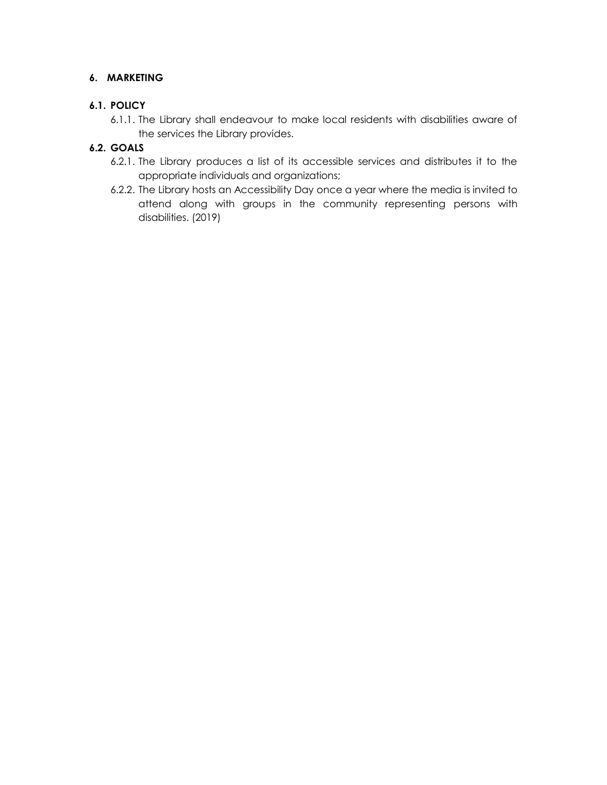## **6. MARKETING**

## **6.1. POLICY**

6.1.1. The Library shall endeavour to make local residents with disabilities aware of the services the Library provides.

## **6.2. GOALS**

- 6.2.1. The Library produces a list of its accessible services and distributes it to the appropriate individuals and organizations;
- 6.2.2. The Library hosts an Accessibility Day once a year where the media is invited to attend along with groups in the community representing persons with disabilities. (2019)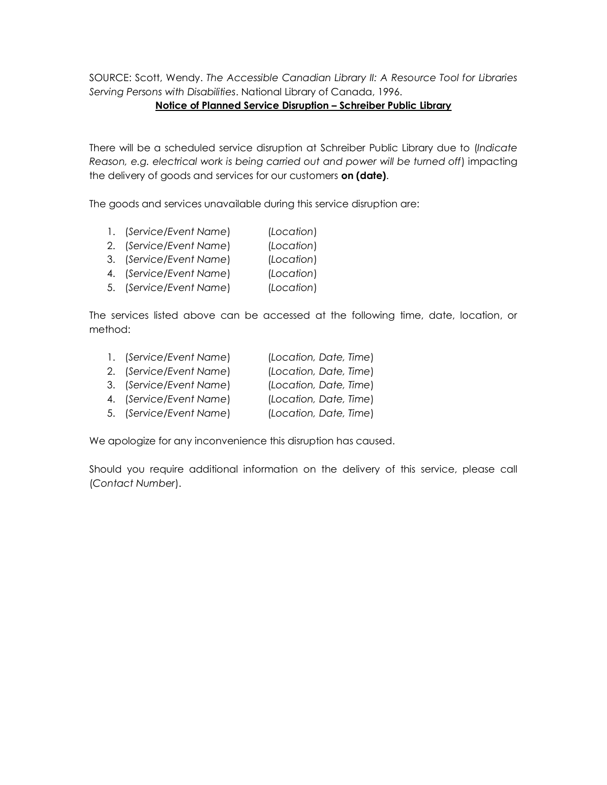SOURCE: Scott, Wendy. *The Accessible Canadian Library II: A Resource Tool for Libraries Serving Persons with Disabilities*. National Library of Canada, 1996.

### **Notice of Planned Service Disruption – Schreiber Public Library**

There will be a scheduled service disruption at Schreiber Public Library due to (*Indicate Reason, e.g. electrical work is being carried out and power will be turned off*) impacting the delivery of goods and services for our customers **on (date)**.

The goods and services unavailable during this service disruption are:

- 1. (*Service/Event Name*) (*Location*)
- 2. (*Service/Event Name*) (*Location*)
- 3. (*Service/Event Name*) (*Location*)
- 4. (*Service/Event Name*) (*Location*)
- 5. (*Service/Event Name*) (*Location*)

The services listed above can be accessed at the following time, date, location, or method:

| 1. (Service/Event Name) | (Location, Date, Time) |
|-------------------------|------------------------|
| 2. (Service/Event Name) | (Location, Date, Time) |
| 3. (Service/Event Name) | (Location, Date, Time) |
| 4. (Service/Event Name) | (Location, Date, Time) |

5. (*Service/Event Name*) (*Location, Date, Time*)

We apologize for any inconvenience this disruption has caused.

Should you require additional information on the delivery of this service, please call (*Contact Number*).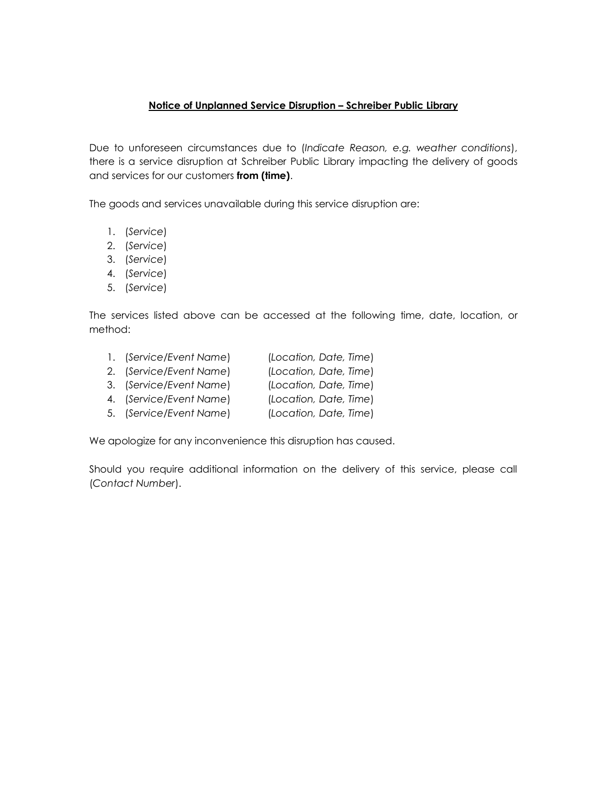### **Notice of Unplanned Service Disruption – Schreiber Public Library**

Due to unforeseen circumstances due to (*Indicate Reason, e.g. weather conditions*), there is a service disruption at Schreiber Public Library impacting the delivery of goods and services for our customers **from (time)**.

The goods and services unavailable during this service disruption are:

- 1. (*Service*)
- 2. (*Service*)
- 3. (*Service*)
- 4. (*Service*)
- 5. (*Service*)

The services listed above can be accessed at the following time, date, location, or method:

| 1. (Service/Event Name) | (Location, Date, Time) |
|-------------------------|------------------------|
| 2. (Service/Event Name) | (Location, Date, Time) |
| 3. (Service/Event Name) | (Location, Date, Time) |
| 4. (Service/Event Name) | (Location, Date, Time) |
| 5. (Service/Event Name) | (Location, Date, Time) |

We apologize for any inconvenience this disruption has caused.

Should you require additional information on the delivery of this service, please call (*Contact Number*).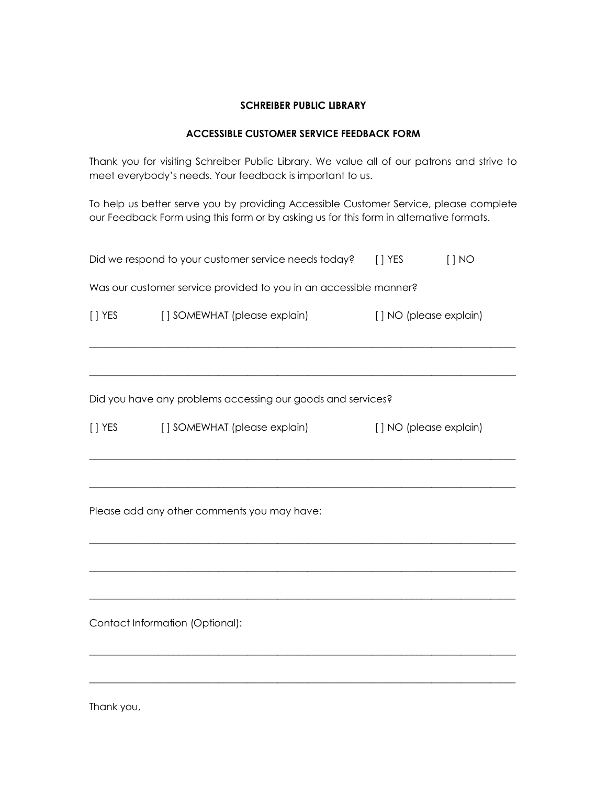#### **SCHREIBER PUBLIC LIBRARY**

#### **ACCESSIBLE CUSTOMER SERVICE FEEDBACK FORM**

Thank you for visiting Schreiber Public Library. We value all of our patrons and strive to meet everybody's needs. Your feedback is important to us.

To help us better serve you by providing Accessible Customer Service, please complete our Feedback Form using this form or by asking us for this form in alternative formats.

|                                                                   | Did we respond to your customer service needs today? | $[ ]$ YES              | [ ] NO |  |  |  |  |
|-------------------------------------------------------------------|------------------------------------------------------|------------------------|--------|--|--|--|--|
| Was our customer service provided to you in an accessible manner? |                                                      |                        |        |  |  |  |  |
| $[ ]$ YES                                                         | [] SOMEWHAT (please explain)                         | [] NO (please explain) |        |  |  |  |  |
|                                                                   |                                                      |                        |        |  |  |  |  |
| Did you have any problems accessing our goods and services?       |                                                      |                        |        |  |  |  |  |
| $[ ]$ YES                                                         | [] SOMEWHAT (please explain)                         | [] NO (please explain) |        |  |  |  |  |
|                                                                   |                                                      |                        |        |  |  |  |  |
| Please add any other comments you may have:                       |                                                      |                        |        |  |  |  |  |
|                                                                   |                                                      |                        |        |  |  |  |  |
|                                                                   |                                                      |                        |        |  |  |  |  |
| Contact Information (Optional):                                   |                                                      |                        |        |  |  |  |  |
|                                                                   |                                                      |                        |        |  |  |  |  |
|                                                                   |                                                      |                        |        |  |  |  |  |

Thank you,